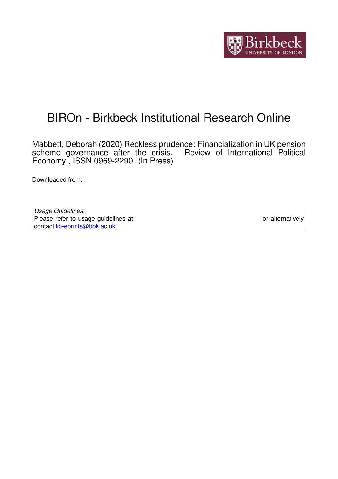

# BIROn - Birkbeck Institutional Research Online

Mabbett, Deborah (2020) Reckless prudence: Financialization in UK pension scheme governance after the crisis. Review of International Political Economy , ISSN 0969-2290. (In Press)

Downloaded from: <https://eprints.bbk.ac.uk/id/eprint/31647/>

*Usage Guidelines:* Please refer to usage guidelines at <https://eprints.bbk.ac.uk/policies.html> or alternatively contact [lib-eprints@bbk.ac.uk.](mailto:lib-eprints@bbk.ac.uk)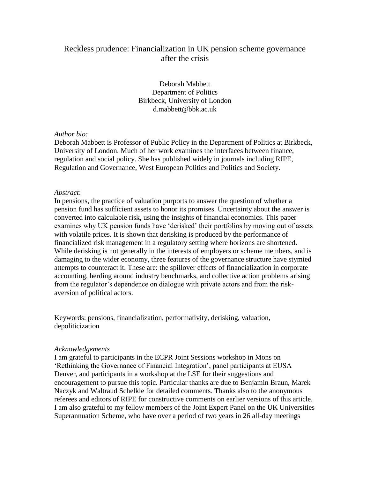## Reckless prudence: Financialization in UK pension scheme governance after the crisis

Deborah Mabbett Department of Politics Birkbeck, University of London d.mabbett@bbk.ac.uk

#### *Author bio:*

Deborah Mabbett is Professor of Public Policy in the Department of Politics at Birkbeck, University of London. Much of her work examines the interfaces between finance, regulation and social policy. She has published widely in journals including RIPE, Regulation and Governance, West European Politics and Politics and Society.

### *Abstract*:

In pensions, the practice of valuation purports to answer the question of whether a pension fund has sufficient assets to honor its promises. Uncertainty about the answer is converted into calculable risk, using the insights of financial economics. This paper examines why UK pension funds have 'derisked' their portfolios by moving out of assets with volatile prices. It is shown that derisking is produced by the performance of financialized risk management in a regulatory setting where horizons are shortened. While derisking is not generally in the interests of employers or scheme members, and is damaging to the wider economy, three features of the governance structure have stymied attempts to counteract it. These are: the spillover effects of financialization in corporate accounting, herding around industry benchmarks, and collective action problems arising from the regulator's dependence on dialogue with private actors and from the riskaversion of political actors.

Keywords: pensions, financialization, performativity, derisking, valuation, depoliticization

### *Acknowledgements*

I am grateful to participants in the ECPR Joint Sessions workshop in Mons on 'Rethinking the Governance of Financial Integration', panel participants at EUSA Denver, and participants in a workshop at the LSE for their suggestions and encouragement to pursue this topic. Particular thanks are due to Benjamin Braun, Marek Naczyk and Waltraud Schelkle for detailed comments. Thanks also to the anonymous referees and editors of RIPE for constructive comments on earlier versions of this article. I am also grateful to my fellow members of the Joint Expert Panel on the UK Universities Superannuation Scheme, who have over a period of two years in 26 all-day meetings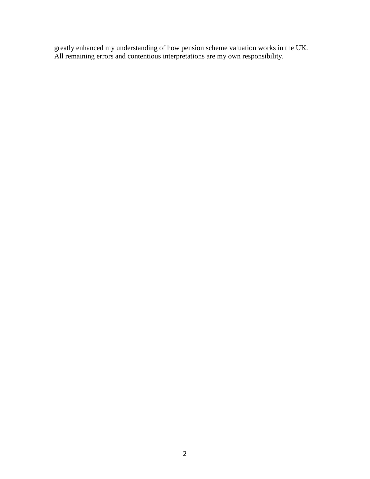greatly enhanced my understanding of how pension scheme valuation works in the UK. All remaining errors and contentious interpretations are my own responsibility.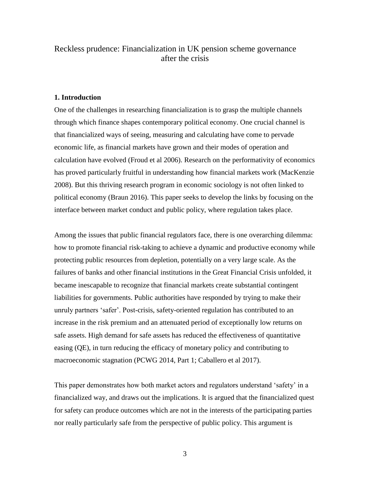## Reckless prudence: Financialization in UK pension scheme governance after the crisis

#### **1. Introduction**

One of the challenges in researching financialization is to grasp the multiple channels through which finance shapes contemporary political economy. One crucial channel is that financialized ways of seeing, measuring and calculating have come to pervade economic life, as financial markets have grown and their modes of operation and calculation have evolved (Froud et al 2006). Research on the performativity of economics has proved particularly fruitful in understanding how financial markets work (MacKenzie 2008). But this thriving research program in economic sociology is not often linked to political economy (Braun 2016). This paper seeks to develop the links by focusing on the interface between market conduct and public policy, where regulation takes place.

Among the issues that public financial regulators face, there is one overarching dilemma: how to promote financial risk-taking to achieve a dynamic and productive economy while protecting public resources from depletion, potentially on a very large scale. As the failures of banks and other financial institutions in the Great Financial Crisis unfolded, it became inescapable to recognize that financial markets create substantial contingent liabilities for governments. Public authorities have responded by trying to make their unruly partners 'safer'. Post-crisis, safety-oriented regulation has contributed to an increase in the risk premium and an attenuated period of exceptionally low returns on safe assets. High demand for safe assets has reduced the effectiveness of quantitative easing (QE), in turn reducing the efficacy of monetary policy and contributing to macroeconomic stagnation (PCWG 2014, Part 1; Caballero et al 2017).

This paper demonstrates how both market actors and regulators understand 'safety' in a financialized way, and draws out the implications. It is argued that the financialized quest for safety can produce outcomes which are not in the interests of the participating parties nor really particularly safe from the perspective of public policy. This argument is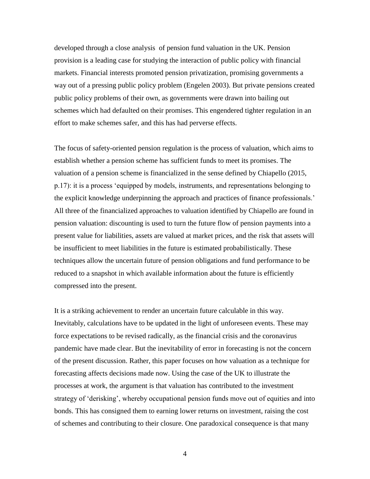developed through a close analysis of pension fund valuation in the UK. Pension provision is a leading case for studying the interaction of public policy with financial markets. Financial interests promoted pension privatization, promising governments a way out of a pressing public policy problem (Engelen 2003). But private pensions created public policy problems of their own, as governments were drawn into bailing out schemes which had defaulted on their promises. This engendered tighter regulation in an effort to make schemes safer, and this has had perverse effects.

The focus of safety-oriented pension regulation is the process of valuation, which aims to establish whether a pension scheme has sufficient funds to meet its promises. The valuation of a pension scheme is financialized in the sense defined by Chiapello (2015, p.17): it is a process 'equipped by models, instruments, and representations belonging to the explicit knowledge underpinning the approach and practices of finance professionals.' All three of the financialized approaches to valuation identified by Chiapello are found in pension valuation: discounting is used to turn the future flow of pension payments into a present value for liabilities, assets are valued at market prices, and the risk that assets will be insufficient to meet liabilities in the future is estimated probabilistically. These techniques allow the uncertain future of pension obligations and fund performance to be reduced to a snapshot in which available information about the future is efficiently compressed into the present.

It is a striking achievement to render an uncertain future calculable in this way. Inevitably, calculations have to be updated in the light of unforeseen events. These may force expectations to be revised radically, as the financial crisis and the coronavirus pandemic have made clear. But the inevitability of error in forecasting is not the concern of the present discussion. Rather, this paper focuses on how valuation as a technique for forecasting affects decisions made now. Using the case of the UK to illustrate the processes at work, the argument is that valuation has contributed to the investment strategy of 'derisking', whereby occupational pension funds move out of equities and into bonds. This has consigned them to earning lower returns on investment, raising the cost of schemes and contributing to their closure. One paradoxical consequence is that many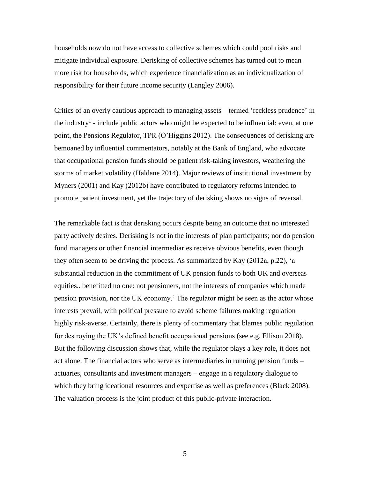households now do not have access to collective schemes which could pool risks and mitigate individual exposure. Derisking of collective schemes has turned out to mean more risk for households, which experience financialization as an individualization of responsibility for their future income security (Langley 2006).

Critics of an overly cautious approach to managing assets – termed 'reckless prudence' in the industry<sup>1</sup> - include public actors who might be expected to be influential: even, at one point, the Pensions Regulator, TPR (O'Higgins 2012). The consequences of derisking are bemoaned by influential commentators, notably at the Bank of England, who advocate that occupational pension funds should be patient risk-taking investors, weathering the storms of market volatility (Haldane 2014). Major reviews of institutional investment by Myners (2001) and Kay (2012b) have contributed to regulatory reforms intended to promote patient investment, yet the trajectory of derisking shows no signs of reversal.

The remarkable fact is that derisking occurs despite being an outcome that no interested party actively desires. Derisking is not in the interests of plan participants; nor do pension fund managers or other financial intermediaries receive obvious benefits, even though they often seem to be driving the process. As summarized by Kay (2012a, p.22), 'a substantial reduction in the commitment of UK pension funds to both UK and overseas equities.. benefitted no one: not pensioners, not the interests of companies which made pension provision, nor the UK economy.' The regulator might be seen as the actor whose interests prevail, with political pressure to avoid scheme failures making regulation highly risk-averse. Certainly, there is plenty of commentary that blames public regulation for destroying the UK's defined benefit occupational pensions (see e.g. Ellison 2018). But the following discussion shows that, while the regulator plays a key role, it does not act alone. The financial actors who serve as intermediaries in running pension funds – actuaries, consultants and investment managers – engage in a regulatory dialogue to which they bring ideational resources and expertise as well as preferences (Black 2008). The valuation process is the joint product of this public-private interaction.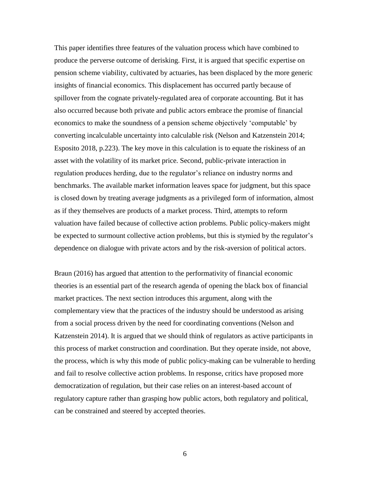This paper identifies three features of the valuation process which have combined to produce the perverse outcome of derisking. First, it is argued that specific expertise on pension scheme viability, cultivated by actuaries, has been displaced by the more generic insights of financial economics. This displacement has occurred partly because of spillover from the cognate privately-regulated area of corporate accounting. But it has also occurred because both private and public actors embrace the promise of financial economics to make the soundness of a pension scheme objectively 'computable' by converting incalculable uncertainty into calculable risk (Nelson and Katzenstein 2014; Esposito 2018, p.223). The key move in this calculation is to equate the riskiness of an asset with the volatility of its market price. Second, public-private interaction in regulation produces herding, due to the regulator's reliance on industry norms and benchmarks. The available market information leaves space for judgment, but this space is closed down by treating average judgments as a privileged form of information, almost as if they themselves are products of a market process. Third, attempts to reform valuation have failed because of collective action problems. Public policy-makers might be expected to surmount collective action problems, but this is stymied by the regulator's dependence on dialogue with private actors and by the risk-aversion of political actors.

Braun (2016) has argued that attention to the performativity of financial economic theories is an essential part of the research agenda of opening the black box of financial market practices. The next section introduces this argument, along with the complementary view that the practices of the industry should be understood as arising from a social process driven by the need for coordinating conventions (Nelson and Katzenstein 2014). It is argued that we should think of regulators as active participants in this process of market construction and coordination. But they operate inside, not above, the process, which is why this mode of public policy-making can be vulnerable to herding and fail to resolve collective action problems. In response, critics have proposed more democratization of regulation, but their case relies on an interest-based account of regulatory capture rather than grasping how public actors, both regulatory and political, can be constrained and steered by accepted theories.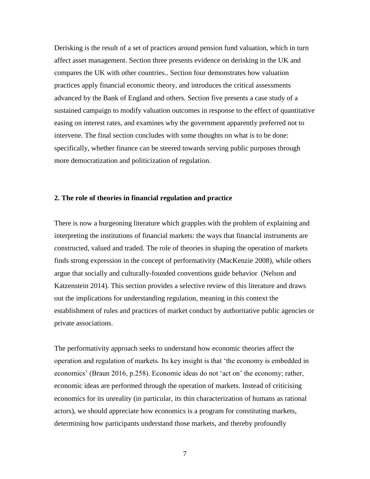Derisking is the result of a set of practices around pension fund valuation, which in turn affect asset management. Section three presents evidence on derisking in the UK and compares the UK with other countries.. Section four demonstrates how valuation practices apply financial economic theory, and introduces the critical assessments advanced by the Bank of England and others. Section five presents a case study of a sustained campaign to modify valuation outcomes in response to the effect of quantitative easing on interest rates, and examines why the government apparently preferred not to intervene. The final section concludes with some thoughts on what is to be done: specifically, whether finance can be steered towards serving public purposes through more democratization and politicization of regulation.

### **2. The role of theories in financial regulation and practice**

There is now a burgeoning literature which grapples with the problem of explaining and interpreting the institutions of financial markets: the ways that financial instruments are constructed, valued and traded. The role of theories in shaping the operation of markets finds strong expression in the concept of performativity (MacKenzie 2008), while others argue that socially and culturally-founded conventions guide behavior (Nelson and Katzenstein 2014). This section provides a selective review of this literature and draws out the implications for understanding regulation, meaning in this context the establishment of rules and practices of market conduct by authoritative public agencies or private associations.

The performativity approach seeks to understand how economic theories affect the operation and regulation of markets. Its key insight is that 'the economy is embedded in economics' (Braun 2016, p.258). Economic ideas do not 'act on' the economy; rather, economic ideas are performed through the operation of markets. Instead of criticising economics for its unreality (in particular, its thin characterization of humans as rational actors), we should appreciate how economics is a program for constituting markets, determining how participants understand those markets, and thereby profoundly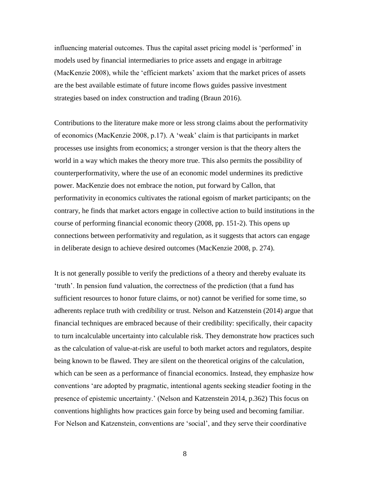influencing material outcomes. Thus the capital asset pricing model is 'performed' in models used by financial intermediaries to price assets and engage in arbitrage (MacKenzie 2008), while the 'efficient markets' axiom that the market prices of assets are the best available estimate of future income flows guides passive investment strategies based on index construction and trading (Braun 2016).

Contributions to the literature make more or less strong claims about the performativity of economics (MacKenzie 2008, p.17). A 'weak' claim is that participants in market processes use insights from economics; a stronger version is that the theory alters the world in a way which makes the theory more true. This also permits the possibility of counterperformativity, where the use of an economic model undermines its predictive power. MacKenzie does not embrace the notion, put forward by Callon, that performativity in economics cultivates the rational egoism of market participants; on the contrary, he finds that market actors engage in collective action to build institutions in the course of performing financial economic theory (2008, pp. 151-2). This opens up connections between performativity and regulation, as it suggests that actors can engage in deliberate design to achieve desired outcomes (MacKenzie 2008, p. 274).

It is not generally possible to verify the predictions of a theory and thereby evaluate its 'truth'. In pension fund valuation, the correctness of the prediction (that a fund has sufficient resources to honor future claims, or not) cannot be verified for some time, so adherents replace truth with credibility or trust. Nelson and Katzenstein (2014) argue that financial techniques are embraced because of their credibility: specifically, their capacity to turn incalculable uncertainty into calculable risk. They demonstrate how practices such as the calculation of value-at-risk are useful to both market actors and regulators, despite being known to be flawed. They are silent on the theoretical origins of the calculation, which can be seen as a performance of financial economics. Instead, they emphasize how conventions 'are adopted by pragmatic, intentional agents seeking steadier footing in the presence of epistemic uncertainty.' (Nelson and Katzenstein 2014, p.362) This focus on conventions highlights how practices gain force by being used and becoming familiar. For Nelson and Katzenstein, conventions are 'social', and they serve their coordinative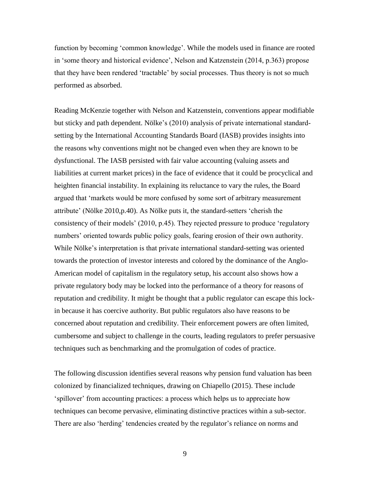function by becoming 'common knowledge'. While the models used in finance are rooted in 'some theory and historical evidence', Nelson and Katzenstein (2014, p.363) propose that they have been rendered 'tractable' by social processes. Thus theory is not so much performed as absorbed.

Reading McKenzie together with Nelson and Katzenstein, conventions appear modifiable but sticky and path dependent. Nölke's (2010) analysis of private international standardsetting by the International Accounting Standards Board (IASB) provides insights into the reasons why conventions might not be changed even when they are known to be dysfunctional. The IASB persisted with fair value accounting (valuing assets and liabilities at current market prices) in the face of evidence that it could be procyclical and heighten financial instability. In explaining its reluctance to vary the rules, the Board argued that 'markets would be more confused by some sort of arbitrary measurement attribute' (Nölke 2010,p.40). As Nölke puts it, the standard-setters 'cherish the consistency of their models' (2010, p.45). They rejected pressure to produce 'regulatory numbers' oriented towards public policy goals, fearing erosion of their own authority. While Nölke's interpretation is that private international standard-setting was oriented towards the protection of investor interests and colored by the dominance of the Anglo-American model of capitalism in the regulatory setup, his account also shows how a private regulatory body may be locked into the performance of a theory for reasons of reputation and credibility. It might be thought that a public regulator can escape this lockin because it has coercive authority. But public regulators also have reasons to be concerned about reputation and credibility. Their enforcement powers are often limited, cumbersome and subject to challenge in the courts, leading regulators to prefer persuasive techniques such as benchmarking and the promulgation of codes of practice.

The following discussion identifies several reasons why pension fund valuation has been colonized by financialized techniques, drawing on Chiapello (2015). These include 'spillover' from accounting practices: a process which helps us to appreciate how techniques can become pervasive, eliminating distinctive practices within a sub-sector. There are also 'herding' tendencies created by the regulator's reliance on norms and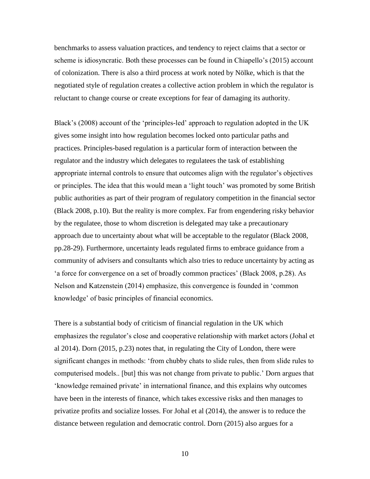benchmarks to assess valuation practices, and tendency to reject claims that a sector or scheme is idiosyncratic. Both these processes can be found in Chiapello's (2015) account of colonization. There is also a third process at work noted by Nölke, which is that the negotiated style of regulation creates a collective action problem in which the regulator is reluctant to change course or create exceptions for fear of damaging its authority.

Black's (2008) account of the 'principles-led' approach to regulation adopted in the UK gives some insight into how regulation becomes locked onto particular paths and practices. Principles-based regulation is a particular form of interaction between the regulator and the industry which delegates to regulatees the task of establishing appropriate internal controls to ensure that outcomes align with the regulator's objectives or principles. The idea that this would mean a 'light touch' was promoted by some British public authorities as part of their program of regulatory competition in the financial sector (Black 2008, p.10). But the reality is more complex. Far from engendering risky behavior by the regulatee, those to whom discretion is delegated may take a precautionary approach due to uncertainty about what will be acceptable to the regulator (Black 2008, pp.28-29). Furthermore, uncertainty leads regulated firms to embrace guidance from a community of advisers and consultants which also tries to reduce uncertainty by acting as 'a force for convergence on a set of broadly common practices' (Black 2008, p.28). As Nelson and Katzenstein (2014) emphasize, this convergence is founded in 'common knowledge' of basic principles of financial economics.

There is a substantial body of criticism of financial regulation in the UK which emphasizes the regulator's close and cooperative relationship with market actors (Johal et al 2014). Dorn (2015, p.23) notes that, in regulating the City of London, there were significant changes in methods: 'from chubby chats to slide rules, then from slide rules to computerised models.. [but] this was not change from private to public.' Dorn argues that 'knowledge remained private' in international finance, and this explains why outcomes have been in the interests of finance, which takes excessive risks and then manages to privatize profits and socialize losses. For Johal et al (2014), the answer is to reduce the distance between regulation and democratic control. Dorn (2015) also argues for a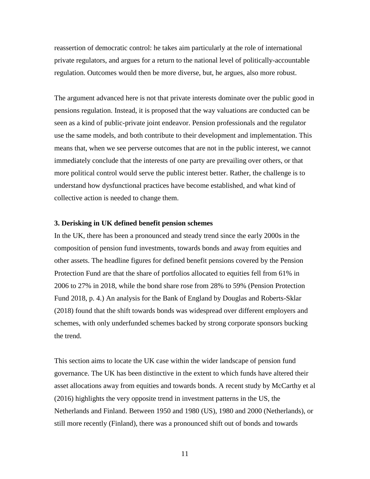reassertion of democratic control: he takes aim particularly at the role of international private regulators, and argues for a return to the national level of politically-accountable regulation. Outcomes would then be more diverse, but, he argues, also more robust.

The argument advanced here is not that private interests dominate over the public good in pensions regulation. Instead, it is proposed that the way valuations are conducted can be seen as a kind of public-private joint endeavor. Pension professionals and the regulator use the same models, and both contribute to their development and implementation. This means that, when we see perverse outcomes that are not in the public interest, we cannot immediately conclude that the interests of one party are prevailing over others, or that more political control would serve the public interest better. Rather, the challenge is to understand how dysfunctional practices have become established, and what kind of collective action is needed to change them.

#### **3. Derisking in UK defined benefit pension schemes**

In the UK, there has been a pronounced and steady trend since the early 2000s in the composition of pension fund investments, towards bonds and away from equities and other assets. The headline figures for defined benefit pensions covered by the Pension Protection Fund are that the share of portfolios allocated to equities fell from 61% in 2006 to 27% in 2018, while the bond share rose from 28% to 59% (Pension Protection Fund 2018, p. 4.) An analysis for the Bank of England by Douglas and Roberts-Sklar (2018) found that the shift towards bonds was widespread over different employers and schemes, with only underfunded schemes backed by strong corporate sponsors bucking the trend.

This section aims to locate the UK case within the wider landscape of pension fund governance. The UK has been distinctive in the extent to which funds have altered their asset allocations away from equities and towards bonds. A recent study by McCarthy et al (2016) highlights the very opposite trend in investment patterns in the US, the Netherlands and Finland. Between 1950 and 1980 (US), 1980 and 2000 (Netherlands), or still more recently (Finland), there was a pronounced shift out of bonds and towards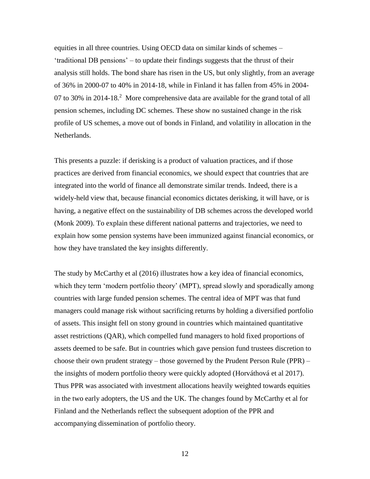equities in all three countries. Using OECD data on similar kinds of schemes – 'traditional DB pensions' – to update their findings suggests that the thrust of their analysis still holds. The bond share has risen in the US, but only slightly, from an average of 36% in 2000-07 to 40% in 2014-18, while in Finland it has fallen from 45% in 2004- 07 to 30% in 2014-18.<sup>2</sup> More comprehensive data are available for the grand total of all pension schemes, including DC schemes. These show no sustained change in the risk profile of US schemes, a move out of bonds in Finland, and volatility in allocation in the Netherlands.

This presents a puzzle: if derisking is a product of valuation practices, and if those practices are derived from financial economics, we should expect that countries that are integrated into the world of finance all demonstrate similar trends. Indeed, there is a widely-held view that, because financial economics dictates derisking, it will have, or is having, a negative effect on the sustainability of DB schemes across the developed world (Monk 2009). To explain these different national patterns and trajectories, we need to explain how some pension systems have been immunized against financial economics, or how they have translated the key insights differently.

The study by McCarthy et al (2016) illustrates how a key idea of financial economics, which they term 'modern portfolio theory' (MPT), spread slowly and sporadically among countries with large funded pension schemes. The central idea of MPT was that fund managers could manage risk without sacrificing returns by holding a diversified portfolio of assets. This insight fell on stony ground in countries which maintained quantitative asset restrictions (QAR), which compelled fund managers to hold fixed proportions of assets deemed to be safe. But in countries which gave pension fund trustees discretion to choose their own prudent strategy – those governed by the Prudent Person Rule (PPR) – the insights of modern portfolio theory were quickly adopted (Horváthová et al 2017). Thus PPR was associated with investment allocations heavily weighted towards equities in the two early adopters, the US and the UK. The changes found by McCarthy et al for Finland and the Netherlands reflect the subsequent adoption of the PPR and accompanying dissemination of portfolio theory.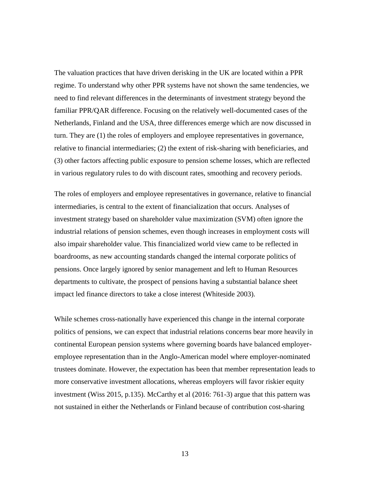The valuation practices that have driven derisking in the UK are located within a PPR regime. To understand why other PPR systems have not shown the same tendencies, we need to find relevant differences in the determinants of investment strategy beyond the familiar PPR/QAR difference. Focusing on the relatively well-documented cases of the Netherlands, Finland and the USA, three differences emerge which are now discussed in turn. They are (1) the roles of employers and employee representatives in governance, relative to financial intermediaries; (2) the extent of risk-sharing with beneficiaries, and (3) other factors affecting public exposure to pension scheme losses, which are reflected in various regulatory rules to do with discount rates, smoothing and recovery periods.

The roles of employers and employee representatives in governance, relative to financial intermediaries, is central to the extent of financialization that occurs. Analyses of investment strategy based on shareholder value maximization (SVM) often ignore the industrial relations of pension schemes, even though increases in employment costs will also impair shareholder value. This financialized world view came to be reflected in boardrooms, as new accounting standards changed the internal corporate politics of pensions. Once largely ignored by senior management and left to Human Resources departments to cultivate, the prospect of pensions having a substantial balance sheet impact led finance directors to take a close interest (Whiteside 2003).

While schemes cross-nationally have experienced this change in the internal corporate politics of pensions, we can expect that industrial relations concerns bear more heavily in continental European pension systems where governing boards have balanced employeremployee representation than in the Anglo-American model where employer-nominated trustees dominate. However, the expectation has been that member representation leads to more conservative investment allocations, whereas employers will favor riskier equity investment (Wiss 2015, p.135). McCarthy et al (2016: 761-3) argue that this pattern was not sustained in either the Netherlands or Finland because of contribution cost-sharing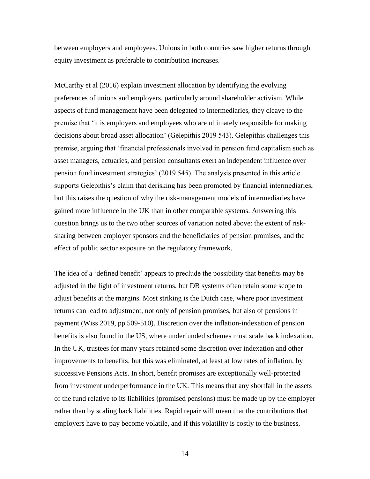between employers and employees. Unions in both countries saw higher returns through equity investment as preferable to contribution increases.

McCarthy et al (2016) explain investment allocation by identifying the evolving preferences of unions and employers, particularly around shareholder activism. While aspects of fund management have been delegated to intermediaries, they cleave to the premise that 'it is employers and employees who are ultimately responsible for making decisions about broad asset allocation' (Gelepithis 2019 543). Gelepithis challenges this premise, arguing that 'financial professionals involved in pension fund capitalism such as asset managers, actuaries, and pension consultants exert an independent influence over pension fund investment strategies' (2019 545). The analysis presented in this article supports Gelepithis's claim that derisking has been promoted by financial intermediaries, but this raises the question of why the risk-management models of intermediaries have gained more influence in the UK than in other comparable systems. Answering this question brings us to the two other sources of variation noted above: the extent of risksharing between employer sponsors and the beneficiaries of pension promises, and the effect of public sector exposure on the regulatory framework.

The idea of a 'defined benefit' appears to preclude the possibility that benefits may be adjusted in the light of investment returns, but DB systems often retain some scope to adjust benefits at the margins. Most striking is the Dutch case, where poor investment returns can lead to adjustment, not only of pension promises, but also of pensions in payment (Wiss 2019, pp.509-510). Discretion over the inflation-indexation of pension benefits is also found in the US, where underfunded schemes must scale back indexation. In the UK, trustees for many years retained some discretion over indexation and other improvements to benefits, but this was eliminated, at least at low rates of inflation, by successive Pensions Acts. In short, benefit promises are exceptionally well-protected from investment underperformance in the UK. This means that any shortfall in the assets of the fund relative to its liabilities (promised pensions) must be made up by the employer rather than by scaling back liabilities. Rapid repair will mean that the contributions that employers have to pay become volatile, and if this volatility is costly to the business,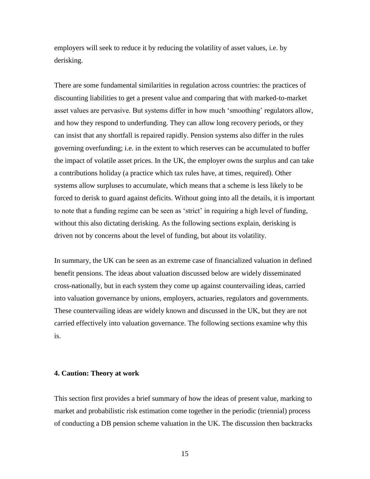employers will seek to reduce it by reducing the volatility of asset values, i.e. by derisking.

There are some fundamental similarities in regulation across countries: the practices of discounting liabilities to get a present value and comparing that with marked-to-market asset values are pervasive. But systems differ in how much 'smoothing' regulators allow, and how they respond to underfunding. They can allow long recovery periods, or they can insist that any shortfall is repaired rapidly. Pension systems also differ in the rules governing overfunding; i.e. in the extent to which reserves can be accumulated to buffer the impact of volatile asset prices. In the UK, the employer owns the surplus and can take a contributions holiday (a practice which tax rules have, at times, required). Other systems allow surpluses to accumulate, which means that a scheme is less likely to be forced to derisk to guard against deficits. Without going into all the details, it is important to note that a funding regime can be seen as 'strict' in requiring a high level of funding, without this also dictating derisking. As the following sections explain, derisking is driven not by concerns about the level of funding, but about its volatility.

In summary, the UK can be seen as an extreme case of financialized valuation in defined benefit pensions. The ideas about valuation discussed below are widely disseminated cross-nationally, but in each system they come up against countervailing ideas, carried into valuation governance by unions, employers, actuaries, regulators and governments. These countervailing ideas are widely known and discussed in the UK, but they are not carried effectively into valuation governance. The following sections examine why this is.

#### **4. Caution: Theory at work**

This section first provides a brief summary of how the ideas of present value, marking to market and probabilistic risk estimation come together in the periodic (triennial) process of conducting a DB pension scheme valuation in the UK. The discussion then backtracks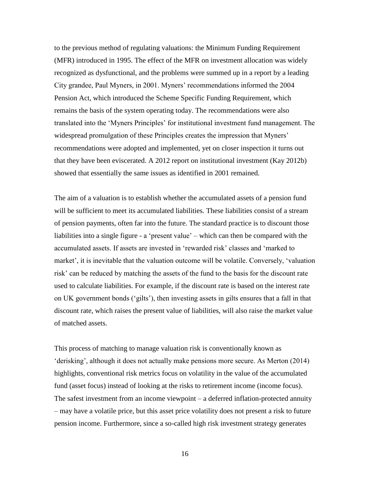to the previous method of regulating valuations: the Minimum Funding Requirement (MFR) introduced in 1995. The effect of the MFR on investment allocation was widely recognized as dysfunctional, and the problems were summed up in a report by a leading City grandee, Paul Myners, in 2001. Myners' recommendations informed the 2004 Pension Act, which introduced the Scheme Specific Funding Requirement, which remains the basis of the system operating today. The recommendations were also translated into the 'Myners Principles' for institutional investment fund management. The widespread promulgation of these Principles creates the impression that Myners' recommendations were adopted and implemented, yet on closer inspection it turns out that they have been eviscerated. A 2012 report on institutional investment (Kay 2012b) showed that essentially the same issues as identified in 2001 remained.

The aim of a valuation is to establish whether the accumulated assets of a pension fund will be sufficient to meet its accumulated liabilities. These liabilities consist of a stream of pension payments, often far into the future. The standard practice is to discount those liabilities into a single figure - a 'present value' – which can then be compared with the accumulated assets. If assets are invested in 'rewarded risk' classes and 'marked to market', it is inevitable that the valuation outcome will be volatile. Conversely, 'valuation risk' can be reduced by matching the assets of the fund to the basis for the discount rate used to calculate liabilities. For example, if the discount rate is based on the interest rate on UK government bonds ('gilts'), then investing assets in gilts ensures that a fall in that discount rate, which raises the present value of liabilities, will also raise the market value of matched assets.

This process of matching to manage valuation risk is conventionally known as 'derisking', although it does not actually make pensions more secure. As Merton (2014) highlights, conventional risk metrics focus on volatility in the value of the accumulated fund (asset focus) instead of looking at the risks to retirement income (income focus). The safest investment from an income viewpoint – a deferred inflation-protected annuity – may have a volatile price, but this asset price volatility does not present a risk to future pension income. Furthermore, since a so-called high risk investment strategy generates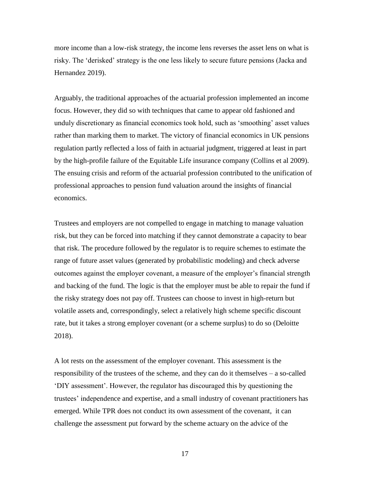more income than a low-risk strategy, the income lens reverses the asset lens on what is risky. The 'derisked' strategy is the one less likely to secure future pensions (Jacka and Hernandez 2019).

Arguably, the traditional approaches of the actuarial profession implemented an income focus. However, they did so with techniques that came to appear old fashioned and unduly discretionary as financial economics took hold, such as 'smoothing' asset values rather than marking them to market. The victory of financial economics in UK pensions regulation partly reflected a loss of faith in actuarial judgment, triggered at least in part by the high-profile failure of the Equitable Life insurance company (Collins et al 2009). The ensuing crisis and reform of the actuarial profession contributed to the unification of professional approaches to pension fund valuation around the insights of financial economics.

Trustees and employers are not compelled to engage in matching to manage valuation risk, but they can be forced into matching if they cannot demonstrate a capacity to bear that risk. The procedure followed by the regulator is to require schemes to estimate the range of future asset values (generated by probabilistic modeling) and check adverse outcomes against the employer covenant, a measure of the employer's financial strength and backing of the fund. The logic is that the employer must be able to repair the fund if the risky strategy does not pay off. Trustees can choose to invest in high-return but volatile assets and, correspondingly, select a relatively high scheme specific discount rate, but it takes a strong employer covenant (or a scheme surplus) to do so (Deloitte 2018).

A lot rests on the assessment of the employer covenant. This assessment is the responsibility of the trustees of the scheme, and they can do it themselves – a so-called 'DIY assessment'. However, the regulator has discouraged this by questioning the trustees' independence and expertise, and a small industry of covenant practitioners has emerged. While TPR does not conduct its own assessment of the covenant, it can challenge the assessment put forward by the scheme actuary on the advice of the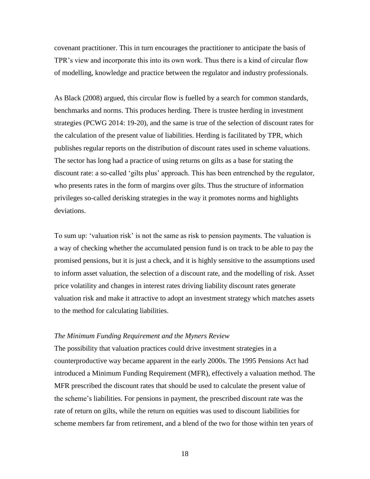covenant practitioner. This in turn encourages the practitioner to anticipate the basis of TPR's view and incorporate this into its own work. Thus there is a kind of circular flow of modelling, knowledge and practice between the regulator and industry professionals.

As Black (2008) argued, this circular flow is fuelled by a search for common standards, benchmarks and norms. This produces herding. There is trustee herding in investment strategies (PCWG 2014: 19-20), and the same is true of the selection of discount rates for the calculation of the present value of liabilities. Herding is facilitated by TPR, which publishes regular reports on the distribution of discount rates used in scheme valuations. The sector has long had a practice of using returns on gilts as a base for stating the discount rate: a so-called 'gilts plus' approach. This has been entrenched by the regulator, who presents rates in the form of margins over gilts. Thus the structure of information privileges so-called derisking strategies in the way it promotes norms and highlights deviations.

To sum up: 'valuation risk' is not the same as risk to pension payments. The valuation is a way of checking whether the accumulated pension fund is on track to be able to pay the promised pensions, but it is just a check, and it is highly sensitive to the assumptions used to inform asset valuation, the selection of a discount rate, and the modelling of risk. Asset price volatility and changes in interest rates driving liability discount rates generate valuation risk and make it attractive to adopt an investment strategy which matches assets to the method for calculating liabilities.

### *The Minimum Funding Requirement and the Myners Review*

The possibility that valuation practices could drive investment strategies in a counterproductive way became apparent in the early 2000s. The 1995 Pensions Act had introduced a Minimum Funding Requirement (MFR), effectively a valuation method. The MFR prescribed the discount rates that should be used to calculate the present value of the scheme's liabilities. For pensions in payment, the prescribed discount rate was the rate of return on gilts, while the return on equities was used to discount liabilities for scheme members far from retirement, and a blend of the two for those within ten years of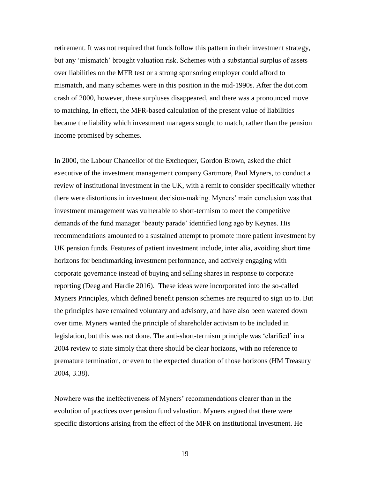retirement. It was not required that funds follow this pattern in their investment strategy, but any 'mismatch' brought valuation risk. Schemes with a substantial surplus of assets over liabilities on the MFR test or a strong sponsoring employer could afford to mismatch, and many schemes were in this position in the mid-1990s. After the dot.com crash of 2000, however, these surpluses disappeared, and there was a pronounced move to matching. In effect, the MFR-based calculation of the present value of liabilities became the liability which investment managers sought to match, rather than the pension income promised by schemes.

In 2000, the Labour Chancellor of the Exchequer, Gordon Brown, asked the chief executive of the investment management company Gartmore, Paul Myners, to conduct a review of institutional investment in the UK, with a remit to consider specifically whether there were distortions in investment decision-making. Myners' main conclusion was that investment management was vulnerable to short-termism to meet the competitive demands of the fund manager 'beauty parade' identified long ago by Keynes. His recommendations amounted to a sustained attempt to promote more patient investment by UK pension funds. Features of patient investment include, inter alia, avoiding short time horizons for benchmarking investment performance, and actively engaging with corporate governance instead of buying and selling shares in response to corporate reporting (Deeg and Hardie 2016). These ideas were incorporated into the so-called Myners Principles, which defined benefit pension schemes are required to sign up to. But the principles have remained voluntary and advisory, and have also been watered down over time. Myners wanted the principle of shareholder activism to be included in legislation, but this was not done. The anti-short-termism principle was 'clarified' in a 2004 review to state simply that there should be clear horizons, with no reference to premature termination, or even to the expected duration of those horizons (HM Treasury 2004, 3.38).

Nowhere was the ineffectiveness of Myners' recommendations clearer than in the evolution of practices over pension fund valuation. Myners argued that there were specific distortions arising from the effect of the MFR on institutional investment. He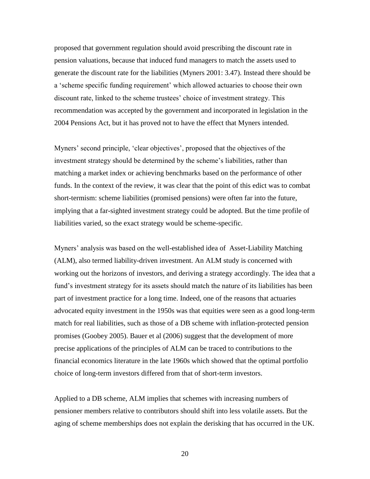proposed that government regulation should avoid prescribing the discount rate in pension valuations, because that induced fund managers to match the assets used to generate the discount rate for the liabilities (Myners 2001: 3.47). Instead there should be a 'scheme specific funding requirement' which allowed actuaries to choose their own discount rate, linked to the scheme trustees' choice of investment strategy. This recommendation was accepted by the government and incorporated in legislation in the 2004 Pensions Act, but it has proved not to have the effect that Myners intended.

Myners' second principle, 'clear objectives', proposed that the objectives of the investment strategy should be determined by the scheme's liabilities, rather than matching a market index or achieving benchmarks based on the performance of other funds. In the context of the review, it was clear that the point of this edict was to combat short-termism: scheme liabilities (promised pensions) were often far into the future, implying that a far-sighted investment strategy could be adopted. But the time profile of liabilities varied, so the exact strategy would be scheme-specific.

Myners' analysis was based on the well-established idea of Asset-Liability Matching (ALM), also termed liability-driven investment. An ALM study is concerned with working out the horizons of investors, and deriving a strategy accordingly. The idea that a fund's investment strategy for its assets should match the nature of its liabilities has been part of investment practice for a long time. Indeed, one of the reasons that actuaries advocated equity investment in the 1950s was that equities were seen as a good long-term match for real liabilities, such as those of a DB scheme with inflation-protected pension promises (Goobey 2005). Bauer et al (2006) suggest that the development of more precise applications of the principles of ALM can be traced to contributions to the financial economics literature in the late 1960s which showed that the optimal portfolio choice of long-term investors differed from that of short-term investors.

Applied to a DB scheme, ALM implies that schemes with increasing numbers of pensioner members relative to contributors should shift into less volatile assets. But the aging of scheme memberships does not explain the derisking that has occurred in the UK.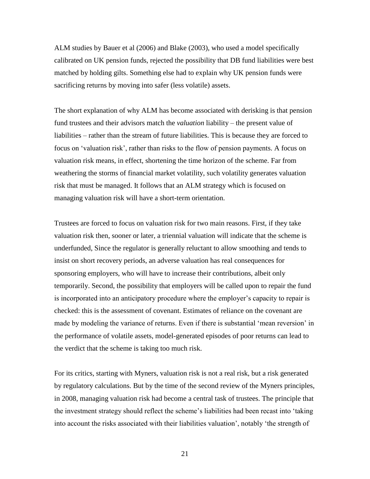ALM studies by Bauer et al (2006) and Blake (2003), who used a model specifically calibrated on UK pension funds, rejected the possibility that DB fund liabilities were best matched by holding gilts. Something else had to explain why UK pension funds were sacrificing returns by moving into safer (less volatile) assets.

The short explanation of why ALM has become associated with derisking is that pension fund trustees and their advisors match the *valuation* liability – the present value of liabilities – rather than the stream of future liabilities. This is because they are forced to focus on 'valuation risk', rather than risks to the flow of pension payments. A focus on valuation risk means, in effect, shortening the time horizon of the scheme. Far from weathering the storms of financial market volatility, such volatility generates valuation risk that must be managed. It follows that an ALM strategy which is focused on managing valuation risk will have a short-term orientation.

Trustees are forced to focus on valuation risk for two main reasons. First, if they take valuation risk then, sooner or later, a triennial valuation will indicate that the scheme is underfunded, Since the regulator is generally reluctant to allow smoothing and tends to insist on short recovery periods, an adverse valuation has real consequences for sponsoring employers, who will have to increase their contributions, albeit only temporarily. Second, the possibility that employers will be called upon to repair the fund is incorporated into an anticipatory procedure where the employer's capacity to repair is checked: this is the assessment of covenant. Estimates of reliance on the covenant are made by modeling the variance of returns. Even if there is substantial 'mean reversion' in the performance of volatile assets, model-generated episodes of poor returns can lead to the verdict that the scheme is taking too much risk.

For its critics, starting with Myners, valuation risk is not a real risk, but a risk generated by regulatory calculations. But by the time of the second review of the Myners principles, in 2008, managing valuation risk had become a central task of trustees. The principle that the investment strategy should reflect the scheme's liabilities had been recast into 'taking into account the risks associated with their liabilities valuation', notably 'the strength of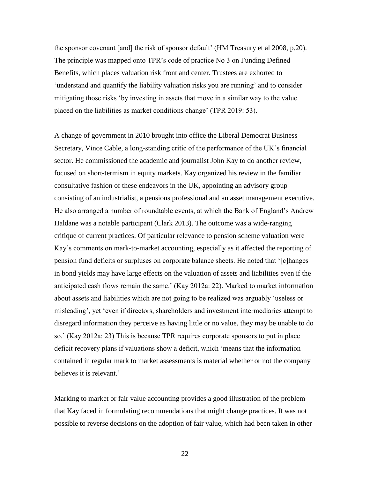the sponsor covenant [and] the risk of sponsor default' (HM Treasury et al 2008, p.20). The principle was mapped onto TPR's code of practice No 3 on Funding Defined Benefits, which places valuation risk front and center. Trustees are exhorted to 'understand and quantify the liability valuation risks you are running' and to consider mitigating those risks 'by investing in assets that move in a similar way to the value placed on the liabilities as market conditions change' (TPR 2019: 53).

A change of government in 2010 brought into office the Liberal Democrat Business Secretary, Vince Cable, a long-standing critic of the performance of the UK's financial sector. He commissioned the academic and journalist John Kay to do another review, focused on short-termism in equity markets. Kay organized his review in the familiar consultative fashion of these endeavors in the UK, appointing an advisory group consisting of an industrialist, a pensions professional and an asset management executive. He also arranged a number of roundtable events, at which the Bank of England's Andrew Haldane was a notable participant (Clark 2013). The outcome was a wide-ranging critique of current practices. Of particular relevance to pension scheme valuation were Kay's comments on mark-to-market accounting, especially as it affected the reporting of pension fund deficits or surpluses on corporate balance sheets. He noted that '[c]hanges in bond yields may have large effects on the valuation of assets and liabilities even if the anticipated cash flows remain the same.' (Kay 2012a: 22). Marked to market information about assets and liabilities which are not going to be realized was arguably 'useless or misleading', yet 'even if directors, shareholders and investment intermediaries attempt to disregard information they perceive as having little or no value, they may be unable to do so.' (Kay 2012a: 23) This is because TPR requires corporate sponsors to put in place deficit recovery plans if valuations show a deficit, which 'means that the information contained in regular mark to market assessments is material whether or not the company believes it is relevant.'

Marking to market or fair value accounting provides a good illustration of the problem that Kay faced in formulating recommendations that might change practices. It was not possible to reverse decisions on the adoption of fair value, which had been taken in other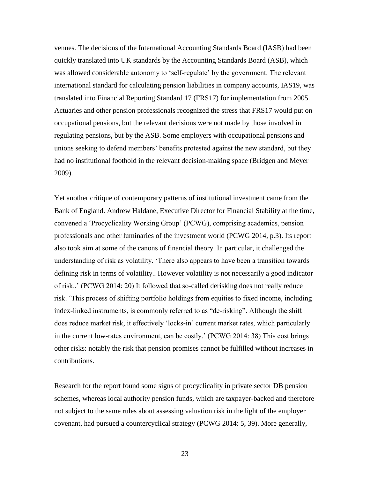venues. The decisions of the International Accounting Standards Board (IASB) had been quickly translated into UK standards by the Accounting Standards Board (ASB), which was allowed considerable autonomy to 'self-regulate' by the government. The relevant international standard for calculating pension liabilities in company accounts, IAS19, was translated into Financial Reporting Standard 17 (FRS17) for implementation from 2005. Actuaries and other pension professionals recognized the stress that FRS17 would put on occupational pensions, but the relevant decisions were not made by those involved in regulating pensions, but by the ASB. Some employers with occupational pensions and unions seeking to defend members' benefits protested against the new standard, but they had no institutional foothold in the relevant decision-making space (Bridgen and Meyer 2009).

Yet another critique of contemporary patterns of institutional investment came from the Bank of England. Andrew Haldane, Executive Director for Financial Stability at the time, convened a 'Procyclicality Working Group' (PCWG), comprising academics, pension professionals and other luminaries of the investment world (PCWG 2014, p.3). Its report also took aim at some of the canons of financial theory. In particular, it challenged the understanding of risk as volatility. 'There also appears to have been a transition towards defining risk in terms of volatility.. However volatility is not necessarily a good indicator of risk..' (PCWG 2014: 20) It followed that so-called derisking does not really reduce risk. 'This process of shifting portfolio holdings from equities to fixed income, including index-linked instruments, is commonly referred to as "de-risking". Although the shift does reduce market risk, it effectively 'locks-in' current market rates, which particularly in the current low-rates environment, can be costly.' (PCWG 2014: 38) This cost brings other risks: notably the risk that pension promises cannot be fulfilled without increases in contributions.

Research for the report found some signs of procyclicality in private sector DB pension schemes, whereas local authority pension funds, which are taxpayer-backed and therefore not subject to the same rules about assessing valuation risk in the light of the employer covenant, had pursued a countercyclical strategy (PCWG 2014: 5, 39). More generally,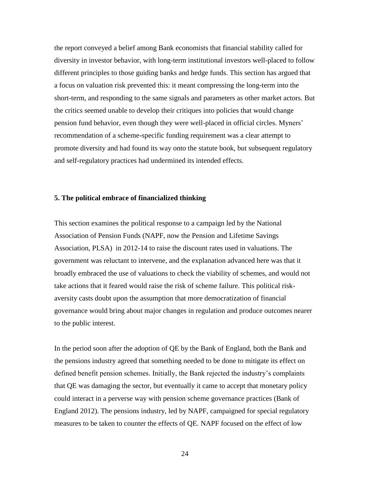the report conveyed a belief among Bank economists that financial stability called for diversity in investor behavior, with long-term institutional investors well-placed to follow different principles to those guiding banks and hedge funds. This section has argued that a focus on valuation risk prevented this: it meant compressing the long-term into the short-term, and responding to the same signals and parameters as other market actors. But the critics seemed unable to develop their critiques into policies that would change pension fund behavior, even though they were well-placed in official circles. Myners' recommendation of a scheme-specific funding requirement was a clear attempt to promote diversity and had found its way onto the statute book, but subsequent regulatory and self-regulatory practices had undermined its intended effects.

#### **5. The political embrace of financialized thinking**

This section examines the political response to a campaign led by the National Association of Pension Funds (NAPF, now the Pension and Lifetime Savings Association, PLSA) in 2012-14 to raise the discount rates used in valuations. The government was reluctant to intervene, and the explanation advanced here was that it broadly embraced the use of valuations to check the viability of schemes, and would not take actions that it feared would raise the risk of scheme failure. This political riskaversity casts doubt upon the assumption that more democratization of financial governance would bring about major changes in regulation and produce outcomes nearer to the public interest.

In the period soon after the adoption of QE by the Bank of England, both the Bank and the pensions industry agreed that something needed to be done to mitigate its effect on defined benefit pension schemes. Initially, the Bank rejected the industry's complaints that QE was damaging the sector, but eventually it came to accept that monetary policy could interact in a perverse way with pension scheme governance practices (Bank of England 2012). The pensions industry, led by NAPF, campaigned for special regulatory measures to be taken to counter the effects of QE. NAPF focused on the effect of low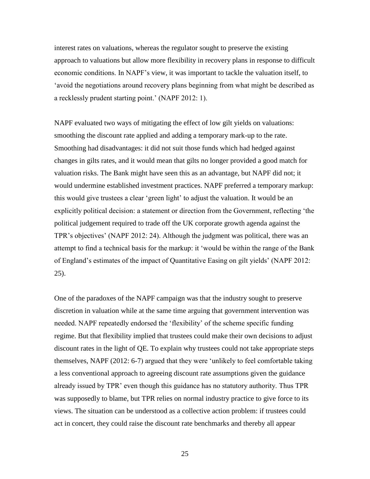interest rates on valuations, whereas the regulator sought to preserve the existing approach to valuations but allow more flexibility in recovery plans in response to difficult economic conditions. In NAPF's view, it was important to tackle the valuation itself, to 'avoid the negotiations around recovery plans beginning from what might be described as a recklessly prudent starting point.' (NAPF 2012: 1).

NAPF evaluated two ways of mitigating the effect of low gilt yields on valuations: smoothing the discount rate applied and adding a temporary mark-up to the rate. Smoothing had disadvantages: it did not suit those funds which had hedged against changes in gilts rates, and it would mean that gilts no longer provided a good match for valuation risks. The Bank might have seen this as an advantage, but NAPF did not; it would undermine established investment practices. NAPF preferred a temporary markup: this would give trustees a clear 'green light' to adjust the valuation. It would be an explicitly political decision: a statement or direction from the Government, reflecting 'the political judgement required to trade off the UK corporate growth agenda against the TPR's objectives' (NAPF 2012: 24). Although the judgment was political, there was an attempt to find a technical basis for the markup: it 'would be within the range of the Bank of England's estimates of the impact of Quantitative Easing on gilt yields' (NAPF 2012: 25).

One of the paradoxes of the NAPF campaign was that the industry sought to preserve discretion in valuation while at the same time arguing that government intervention was needed. NAPF repeatedly endorsed the 'flexibility' of the scheme specific funding regime. But that flexibility implied that trustees could make their own decisions to adjust discount rates in the light of QE. To explain why trustees could not take appropriate steps themselves, NAPF (2012: 6-7) argued that they were 'unlikely to feel comfortable taking a less conventional approach to agreeing discount rate assumptions given the guidance already issued by TPR' even though this guidance has no statutory authority. Thus TPR was supposedly to blame, but TPR relies on normal industry practice to give force to its views. The situation can be understood as a collective action problem: if trustees could act in concert, they could raise the discount rate benchmarks and thereby all appear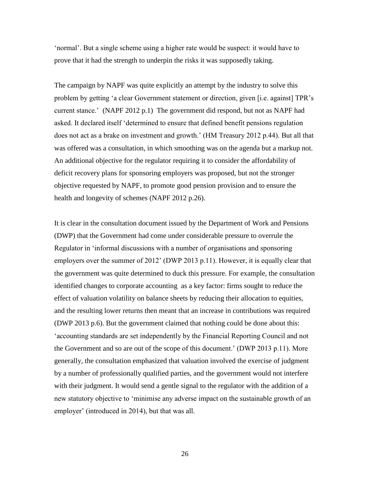'normal'. But a single scheme using a higher rate would be suspect: it would have to prove that it had the strength to underpin the risks it was supposedly taking.

The campaign by NAPF was quite explicitly an attempt by the industry to solve this problem by getting 'a clear Government statement or direction, given [i.e. against] TPR's current stance.' (NAPF 2012 p.1) The government did respond, but not as NAPF had asked. It declared itself 'determined to ensure that defined benefit pensions regulation does not act as a brake on investment and growth.' (HM Treasury 2012 p.44). But all that was offered was a consultation, in which smoothing was on the agenda but a markup not. An additional objective for the regulator requiring it to consider the affordability of deficit recovery plans for sponsoring employers was proposed, but not the stronger objective requested by NAPF, to promote good pension provision and to ensure the health and longevity of schemes (NAPF 2012 p.26).

It is clear in the consultation document issued by the Department of Work and Pensions (DWP) that the Government had come under considerable pressure to overrule the Regulator in 'informal discussions with a number of organisations and sponsoring employers over the summer of 2012' (DWP 2013 p.11). However, it is equally clear that the government was quite determined to duck this pressure. For example, the consultation identified changes to corporate accounting as a key factor: firms sought to reduce the effect of valuation volatility on balance sheets by reducing their allocation to equities, and the resulting lower returns then meant that an increase in contributions was required (DWP 2013 p.6). But the government claimed that nothing could be done about this: 'accounting standards are set independently by the Financial Reporting Council and not the Government and so are out of the scope of this document.' (DWP 2013 p.11). More generally, the consultation emphasized that valuation involved the exercise of judgment by a number of professionally qualified parties, and the government would not interfere with their judgment. It would send a gentle signal to the regulator with the addition of a new statutory objective to 'minimise any adverse impact on the sustainable growth of an employer' (introduced in 2014), but that was all.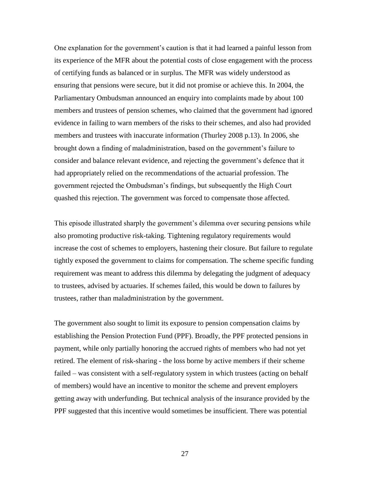One explanation for the government's caution is that it had learned a painful lesson from its experience of the MFR about the potential costs of close engagement with the process of certifying funds as balanced or in surplus. The MFR was widely understood as ensuring that pensions were secure, but it did not promise or achieve this. In 2004, the Parliamentary Ombudsman announced an enquiry into complaints made by about 100 members and trustees of pension schemes, who claimed that the government had ignored evidence in failing to warn members of the risks to their schemes, and also had provided members and trustees with inaccurate information (Thurley 2008 p.13). In 2006, she brought down a finding of maladministration, based on the government's failure to consider and balance relevant evidence, and rejecting the government's defence that it had appropriately relied on the recommendations of the actuarial profession. The government rejected the Ombudsman's findings, but subsequently the High Court quashed this rejection. The government was forced to compensate those affected.

This episode illustrated sharply the government's dilemma over securing pensions while also promoting productive risk-taking. Tightening regulatory requirements would increase the cost of schemes to employers, hastening their closure. But failure to regulate tightly exposed the government to claims for compensation. The scheme specific funding requirement was meant to address this dilemma by delegating the judgment of adequacy to trustees, advised by actuaries. If schemes failed, this would be down to failures by trustees, rather than maladministration by the government.

The government also sought to limit its exposure to pension compensation claims by establishing the Pension Protection Fund (PPF). Broadly, the PPF protected pensions in payment, while only partially honoring the accrued rights of members who had not yet retired. The element of risk-sharing - the loss borne by active members if their scheme failed – was consistent with a self-regulatory system in which trustees (acting on behalf of members) would have an incentive to monitor the scheme and prevent employers getting away with underfunding. But technical analysis of the insurance provided by the PPF suggested that this incentive would sometimes be insufficient. There was potential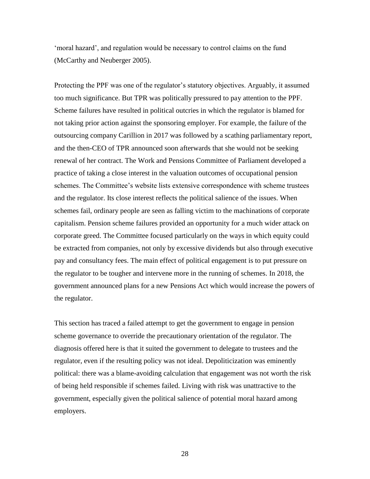'moral hazard', and regulation would be necessary to control claims on the fund (McCarthy and Neuberger 2005).

Protecting the PPF was one of the regulator's statutory objectives. Arguably, it assumed too much significance. But TPR was politically pressured to pay attention to the PPF. Scheme failures have resulted in political outcries in which the regulator is blamed for not taking prior action against the sponsoring employer. For example, the failure of the outsourcing company Carillion in 2017 was followed by a scathing parliamentary report, and the then-CEO of TPR announced soon afterwards that she would not be seeking renewal of her contract. The Work and Pensions Committee of Parliament developed a practice of taking a close interest in the valuation outcomes of occupational pension schemes. The Committee's website lists extensive correspondence with scheme trustees and the regulator. Its close interest reflects the political salience of the issues. When schemes fail, ordinary people are seen as falling victim to the machinations of corporate capitalism. Pension scheme failures provided an opportunity for a much wider attack on corporate greed. The Committee focused particularly on the ways in which equity could be extracted from companies, not only by excessive dividends but also through executive pay and consultancy fees. The main effect of political engagement is to put pressure on the regulator to be tougher and intervene more in the running of schemes. In 2018, the government announced plans for a new Pensions Act which would increase the powers of the regulator.

This section has traced a failed attempt to get the government to engage in pension scheme governance to override the precautionary orientation of the regulator. The diagnosis offered here is that it suited the government to delegate to trustees and the regulator, even if the resulting policy was not ideal. Depoliticization was eminently political: there was a blame-avoiding calculation that engagement was not worth the risk of being held responsible if schemes failed. Living with risk was unattractive to the government, especially given the political salience of potential moral hazard among employers.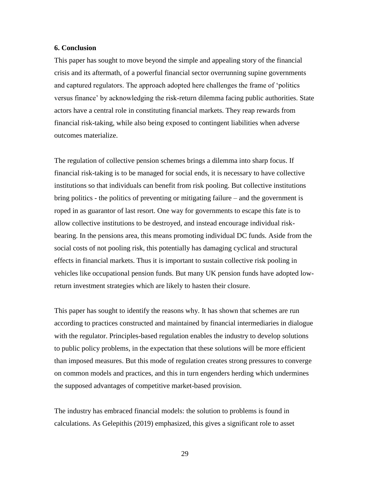#### **6. Conclusion**

This paper has sought to move beyond the simple and appealing story of the financial crisis and its aftermath, of a powerful financial sector overrunning supine governments and captured regulators. The approach adopted here challenges the frame of 'politics versus finance' by acknowledging the risk-return dilemma facing public authorities. State actors have a central role in constituting financial markets. They reap rewards from financial risk-taking, while also being exposed to contingent liabilities when adverse outcomes materialize.

The regulation of collective pension schemes brings a dilemma into sharp focus. If financial risk-taking is to be managed for social ends, it is necessary to have collective institutions so that individuals can benefit from risk pooling. But collective institutions bring politics - the politics of preventing or mitigating failure – and the government is roped in as guarantor of last resort. One way for governments to escape this fate is to allow collective institutions to be destroyed, and instead encourage individual riskbearing. In the pensions area, this means promoting individual DC funds. Aside from the social costs of not pooling risk, this potentially has damaging cyclical and structural effects in financial markets. Thus it is important to sustain collective risk pooling in vehicles like occupational pension funds. But many UK pension funds have adopted lowreturn investment strategies which are likely to hasten their closure.

This paper has sought to identify the reasons why. It has shown that schemes are run according to practices constructed and maintained by financial intermediaries in dialogue with the regulator. Principles-based regulation enables the industry to develop solutions to public policy problems, in the expectation that these solutions will be more efficient than imposed measures. But this mode of regulation creates strong pressures to converge on common models and practices, and this in turn engenders herding which undermines the supposed advantages of competitive market-based provision.

The industry has embraced financial models: the solution to problems is found in calculations. As Gelepithis (2019) emphasized, this gives a significant role to asset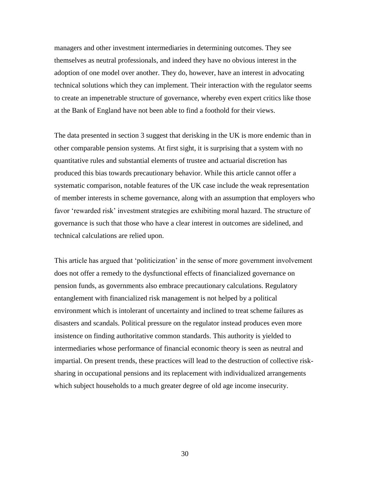managers and other investment intermediaries in determining outcomes. They see themselves as neutral professionals, and indeed they have no obvious interest in the adoption of one model over another. They do, however, have an interest in advocating technical solutions which they can implement. Their interaction with the regulator seems to create an impenetrable structure of governance, whereby even expert critics like those at the Bank of England have not been able to find a foothold for their views.

The data presented in section 3 suggest that derisking in the UK is more endemic than in other comparable pension systems. At first sight, it is surprising that a system with no quantitative rules and substantial elements of trustee and actuarial discretion has produced this bias towards precautionary behavior. While this article cannot offer a systematic comparison, notable features of the UK case include the weak representation of member interests in scheme governance, along with an assumption that employers who favor 'rewarded risk' investment strategies are exhibiting moral hazard. The structure of governance is such that those who have a clear interest in outcomes are sidelined, and technical calculations are relied upon.

This article has argued that 'politicization' in the sense of more government involvement does not offer a remedy to the dysfunctional effects of financialized governance on pension funds, as governments also embrace precautionary calculations. Regulatory entanglement with financialized risk management is not helped by a political environment which is intolerant of uncertainty and inclined to treat scheme failures as disasters and scandals. Political pressure on the regulator instead produces even more insistence on finding authoritative common standards. This authority is yielded to intermediaries whose performance of financial economic theory is seen as neutral and impartial. On present trends, these practices will lead to the destruction of collective risksharing in occupational pensions and its replacement with individualized arrangements which subject households to a much greater degree of old age income insecurity.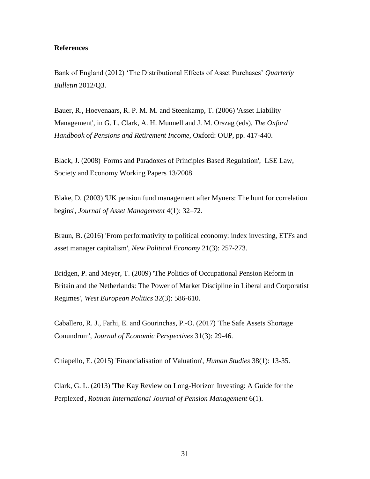### **References**

Bank of England (2012) 'The Distributional Effects of Asset Purchases' *Quarterly Bulletin* 2012/Q3.

Bauer, R., Hoevenaars, R. P. M. M. and Steenkamp, T. (2006) 'Asset Liability Management', in G. L. Clark, A. H. Munnell and J. M. Orszag (eds), *The Oxford Handbook of Pensions and Retirement Income*, Oxford: OUP, pp. 417-440.

Black, J. (2008) 'Forms and Paradoxes of Principles Based Regulation', LSE Law, Society and Economy Working Papers 13/2008.

Blake, D. (2003) 'UK pension fund management after Myners: The hunt for correlation begins', *Journal of Asset Management* 4(1): 32–72.

Braun, B. (2016) 'From performativity to political economy: index investing, ETFs and asset manager capitalism', *New Political Economy* 21(3): 257-273.

Bridgen, P. and Meyer, T. (2009) 'The Politics of Occupational Pension Reform in Britain and the Netherlands: The Power of Market Discipline in Liberal and Corporatist Regimes', *West European Politics* 32(3): 586-610.

Caballero, R. J., Farhi, E. and Gourinchas, P.-O. (2017) 'The Safe Assets Shortage Conundrum', *Journal of Economic Perspectives* 31(3): 29-46.

Chiapello, E. (2015) 'Financialisation of Valuation', *Human Studies* 38(1): 13-35.

Clark, G. L. (2013) 'The Kay Review on Long-Horizon Investing: A Guide for the Perplexed', *Rotman International Journal of Pension Management* 6(1).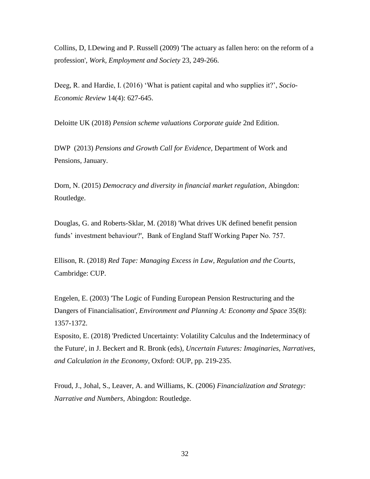Collins, D, I.Dewing and P. Russell (2009) 'The actuary as fallen hero: on the reform of a profession', *Work, Employment and Society* 23, 249-266.

Deeg, R. and Hardie, I. (2016) 'What is patient capital and who supplies it?', *Socio-Economic Review* 14(4): 627-645.

Deloitte UK (2018) *Pension scheme valuations Corporate guide* 2nd Edition.

DWP (2013) *Pensions and Growth Call for Evidence,* Department of Work and Pensions, January.

Dorn, N. (2015) *Democracy and diversity in financial market regulation*, Abingdon: Routledge.

Douglas, G. and Roberts-Sklar, M. (2018) 'What drives UK defined benefit pension funds' investment behaviour?', Bank of England Staff Working Paper No. 757.

Ellison, R. (2018) *Red Tape: Managing Excess in Law, Regulation and the Courts*, Cambridge: CUP.

Engelen, E. (2003) 'The Logic of Funding European Pension Restructuring and the Dangers of Financialisation', *Environment and Planning A: Economy and Space* 35(8): 1357-1372.

Esposito, E. (2018) 'Predicted Uncertainty: Volatility Calculus and the Indeterminacy of the Future', in J. Beckert and R. Bronk (eds), *Uncertain Futures: Imaginaries, Narratives, and Calculation in the Economy*, Oxford: OUP, pp. 219-235.

Froud, J., Johal, S., Leaver, A. and Williams, K. (2006) *Financialization and Strategy: Narrative and Numbers*, Abingdon: Routledge.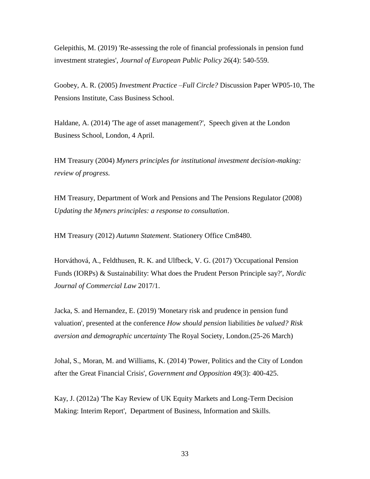Gelepithis, M. (2019) 'Re-assessing the role of financial professionals in pension fund investment strategies', *Journal of European Public Policy* 26(4): 540-559.

Goobey, A. R. (2005) *Investment Practice –Full Circle?* Discussion Paper WP05-10, The Pensions Institute, Cass Business School.

Haldane, A. (2014) 'The age of asset management?', Speech given at the London Business School, London, 4 April.

HM Treasury (2004) *Myners principles for institutional investment decision-making: review of progress.* 

HM Treasury, Department of Work and Pensions and The Pensions Regulator (2008) *Updating the Myners principles: a response to consultation*.

HM Treasury (2012) *Autumn Statement*. Stationery Office Cm8480.

Horváthová, A., Feldthusen, R. K. and Ulfbeck, V. G. (2017) 'Occupational Pension Funds (IORPs) & Sustainability: What does the Prudent Person Principle say?', *Nordic Journal of Commercial Law* 2017/1.

Jacka, S. and Hernandez, E. (2019) 'Monetary risk and prudence in pension fund valuation', presented at the conference *How should pension* liabilities *be valued? Risk aversion and demographic uncertainty* The Royal Society, London.(25-26 March)

Johal, S., Moran, M. and Williams, K. (2014) 'Power, Politics and the City of London after the Great Financial Crisis', *Government and Opposition* 49(3): 400-425.

Kay, J. (2012a) 'The Kay Review of UK Equity Markets and Long-Term Decision Making: Interim Report', Department of Business, Information and Skills.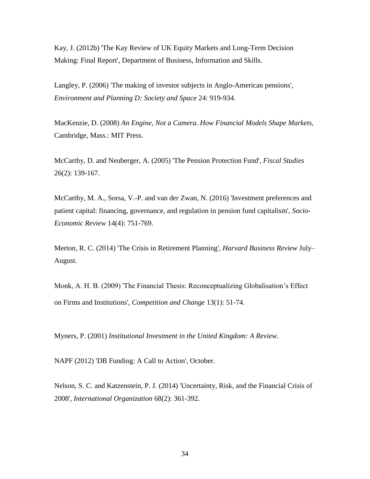Kay, J. (2012b) 'The Kay Review of UK Equity Markets and Long-Term Decision Making: Final Report', Department of Business, Information and Skills.

Langley, P. (2006) 'The making of investor subjects in Anglo-American pensions', *Environment and Planning D: Society and Space* 24: 919-934.

MacKenzie, D. (2008) *An Engine, Not a Camera. How Financial Models Shape Markets*, Cambridge, Mass.: MIT Press.

McCarthy, D. and Neuberger, A. (2005) 'The Pension Protection Fund', *Fiscal Studies* 26(2): 139-167.

McCarthy, M. A., Sorsa, V.-P. and van der Zwan, N. (2016) 'Investment preferences and patient capital: financing, governance, and regulation in pension fund capitalism', *Socio-Economic Review* 14(4): 751-769.

Merton, R. C. (2014) 'The Crisis in Retirement Planning', *Harvard Business Review* July– August.

Monk, A. H. B. (2009) 'The Financial Thesis: Reconceptualizing Globalisation's Effect on Firms and Institutions', *Competition and Change* 13(1): 51-74.

Myners, P. (2001) *Institutional Investment in the United Kingdom: A Review*.

NAPF (2012) 'DB Funding: A Call to Action', October.

Nelson, S. C. and Katzenstein, P. J. (2014) 'Uncertainty, Risk, and the Financial Crisis of 2008', *International Organization* 68(2): 361-392.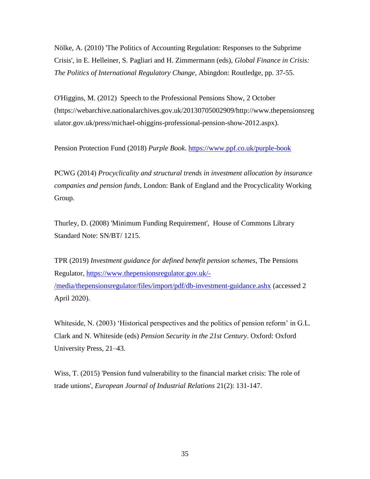Nölke, A. (2010) 'The Politics of Accounting Regulation: Responses to the Subprime Crisis', in E. Helleiner, S. Pagliari and H. Zimmermann (eds), *Global Finance in Crisis: The Politics of International Regulatory Change*, Abingdon: Routledge, pp. 37-55.

O'Higgins, M. (2012) Speech to the Professional Pensions Show, 2 October (https://webarchive.nationalarchives.gov.uk/20130705002909/http://www.thepensionsreg ulator.gov.uk/press/michael-ohiggins-professional-pension-show-2012.aspx).

Pension Protection Fund (2018) *Purple Book*.<https://www.ppf.co.uk/purple-book>

PCWG (2014) *Procyclicality and structural trends in investment allocation by insurance companies and pension funds*, London: Bank of England and the Procyclicality Working Group.

Thurley, D. (2008) 'Minimum Funding Requirement', House of Commons Library Standard Note: SN/BT/ 1215.

TPR (2019) *Investment guidance for defined benefit pension schemes*, The Pensions Regulator, [https://www.thepensionsregulator.gov.uk/-](https://www.thepensionsregulator.gov.uk/-/media/thepensionsregulator/files/import/pdf/db-investment-guidance.ashx) [/media/thepensionsregulator/files/import/pdf/db-investment-guidance.ashx](https://www.thepensionsregulator.gov.uk/-/media/thepensionsregulator/files/import/pdf/db-investment-guidance.ashx) (accessed 2 April 2020).

Whiteside, N. (2003) 'Historical perspectives and the politics of pension reform' in G.L. Clark and N. Whiteside (eds) *Pension Security in the 21st Century*. Oxford: Oxford University Press, 21–43.

Wiss, T. (2015) 'Pension fund vulnerability to the financial market crisis: The role of trade unions', *European Journal of Industrial Relations* 21(2): 131-147.